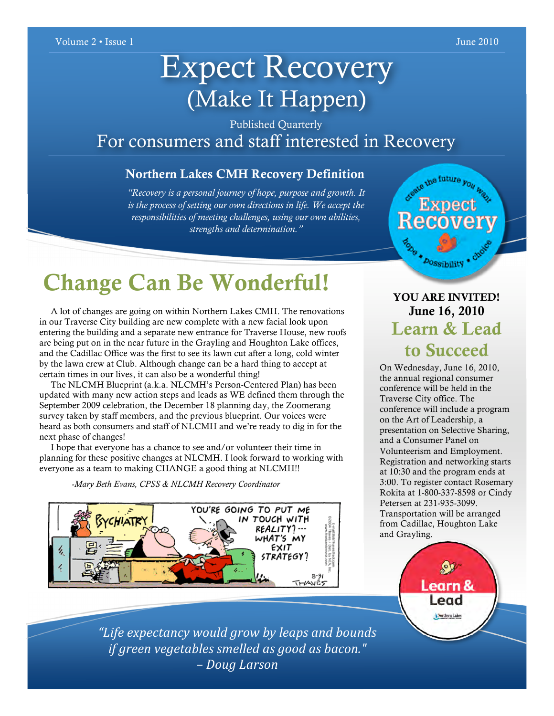# Expect Recovery (Make It Happen)

Published Quarterly For consumers and staff interested in Recovery

#### Northern Lakes CMH Recovery Definition

*"Recovery is a personal journey of hope, purpose and growth. It is the process of setting our own directions in life. We accept the responsibilities of meeting challenges, using our own abilities, strengths and determination."*

# Change Can Be Wonderful!

 A lot of changes are going on within Northern Lakes CMH. The renovations in our Traverse City building are new complete with a new facial look upon entering the building and a separate new entrance for Traverse House, new roofs are being put on in the near future in the Grayling and Houghton Lake offices, and the Cadillac Office was the first to see its lawn cut after a long, cold winter by the lawn crew at Club. Although change can be a hard thing to accept at certain times in our lives, it can also be a wonderful thing!

 The NLCMH Blueprint (a.k.a. NLCMH's Person-Centered Plan) has been updated with many new action steps and leads as WE defined them through the September 2009 celebration, the December 18 planning day, the Zoomerang survey taken by staff members, and the previous blueprint. Our voices were heard as both consumers and staff of NLCMH and we're ready to dig in for the next phase of changes!

 I hope that everyone has a chance to see and/or volunteer their time in planning for these positive changes at NLCMH. I look forward to working with everyone as a team to making CHANGE a good thing at NLCMH!!

*-Mary Beth Evans, CPSS & NLCMH Recovery Coordinator*



## YOU ARE INVITED! June 16, 2010 Learn & Lead to Succeed

**Dossibility** 

the future you way

On Wednesday, June 16, 2010, the annual regional consumer conference will be held in the Traverse City office. The conference will include a program on the Art of Leadership, a presentation on Selective Sharing, and a Consumer Panel on Volunteerism and Employment. Registration and networking starts at 10:30 and the program ends at 3:00. To register contact Rosemary Rokita at 1-800-337-8598 or Cindy Petersen at 231-935-3099. Transportation will be arranged from Cadillac, Houghton Lake and Grayling.



*"Life expectancy would grow by leaps and bounds if green vegetables smelled as good as bacon." – Doug Larson*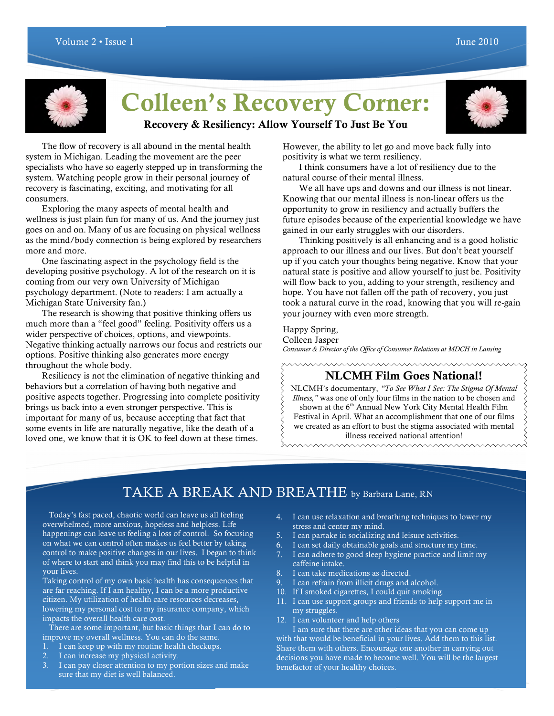

# Colleen's Recovery Corner:



### Recovery & Resiliency: Allow Yourself To Just Be You

The flow of recovery is all abound in the mental health system in Michigan. Leading the movement are the peer specialists who have so eagerly stepped up in transforming the system. Watching people grow in their personal journey of recovery is fascinating, exciting, and motivating for all consumers.

Exploring the many aspects of mental health and wellness is just plain fun for many of us. And the journey just goes on and on. Many of us are focusing on physical wellness as the mind/body connection is being explored by researchers more and more.

One fascinating aspect in the psychology field is the developing positive psychology. A lot of the research on it is coming from our very own University of Michigan psychology department. (Note to readers: I am actually a Michigan State University fan.)

The research is showing that positive thinking offers us much more than a "feel good" feeling. Positivity offers us a wider perspective of choices, options, and viewpoints. Negative thinking actually narrows our focus and restricts our options. Positive thinking also generates more energy throughout the whole body.

Resiliency is not the elimination of negative thinking and behaviors but a correlation of having both negative and positive aspects together. Progressing into complete positivity brings us back into a even stronger perspective. This is important for many of us, because accepting that fact that some events in life are naturally negative, like the death of a loved one, we know that it is OK to feel down at these times.

However, the ability to let go and move back fully into positivity is what we term resiliency.

I think consumers have a lot of resiliency due to the natural course of their mental illness.

We all have ups and downs and our illness is not linear. Knowing that our mental illness is non-linear offers us the opportunity to grow in resiliency and actually buffers the future episodes because of the experiential knowledge we have gained in our early struggles with our disorders.

Thinking positively is all enhancing and is a good holistic approach to our illness and our lives. But don't beat yourself up if you catch your thoughts being negative. Know that your natural state is positive and allow yourself to just be. Positivity will flow back to you, adding to your strength, resiliency and hope. You have not fallen off the path of recovery, you just took a natural curve in the road, knowing that you will re-gain your journey with even more strength.

#### Happy Spring,

Colleen Jasper

*Consumer & Director of the Office of Consumer Relations at MDCH in Lansing*

### NLCMH Film Goes National!

NLCMH's documentary, *"To See What I See: The Stigma Of Mental Illness,"* was one of only four films in the nation to be chosen and shown at the 6<sup>th</sup> Annual New York City Mental Health Film Festival in April. What an accomplishment that one of our films we created as an effort to bust the stigma associated with mental illness received national attention!

mmmmmmmmmmm

### TAKE A BREAK AND BREATHE by Barbara Lane, RN

 Today's fast paced, chaotic world can leave us all feeling overwhelmed, more anxious, hopeless and helpless. Life happenings can leave us feeling a loss of control. So focusing on what we can control often makes us feel better by taking control to make positive changes in our lives. I began to think of where to start and think you may find this to be helpful in your lives.

Taking control of my own basic health has consequences that are far reaching. If I am healthy, I can be a more productive citizen. My utilization of health care resources decreases, lowering my personal cost to my insurance company, which impacts the overall health care cost.

 There are some important, but basic things that I can do to improve my overall wellness. You can do the same.

- 1. I can keep up with my routine health checkups.
- 2. I can increase my physical activity.
- 3. I can pay closer attention to my portion sizes and make sure that my diet is well balanced.
- 4. I can use relaxation and breathing techniques to lower my stress and center my mind.
- 5. I can partake in socializing and leisure activities.
- 6. I can set daily obtainable goals and structure my time.
- 7. I can adhere to good sleep hygiene practice and limit my caffeine intake.
- 8. I can take medications as directed.
- 9. I can refrain from illicit drugs and alcohol.
- 10. If I smoked cigarettes, I could quit smoking.
- 11. I can use support groups and friends to help support me in my struggles.
- 12. I can volunteer and help others

I am sure that there are other ideas that you can come up with that would be beneficial in your lives. Add them to this list. Share them with others. Encourage one another in carrying out decisions you have made to become well. You will be the largest benefactor of your healthy choices.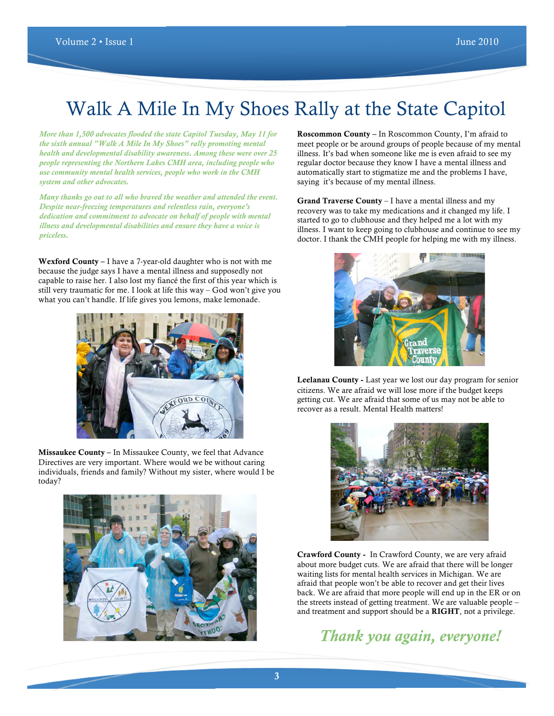# Walk A Mile In My Shoes Rally at the State Capitol

*More than 1,500 advocates flooded the state Capitol Tuesday, May 11 for the sixth annual "Walk A Mile In My Shoes" rally promoting mental health and developmental disability awareness. Among these were over 25 people representing the Northern Lakes CMH area, including people who use community mental health services, people who work in the CMH system and other advocates.*

*Many thanks go out to all who braved the weather and attended the event. Despite near-freezing temperatures and relentless rain, everyone's dedication and commitment to advocate on behalf of people with mental illness and developmental disabilities and ensure they have a voice is priceless.*

Wexford County – I have a 7-year-old daughter who is not with me because the judge says I have a mental illness and supposedly not capable to raise her. I also lost my fiancé the first of this year which is still very traumatic for me. I look at life this way – God won't give you what you can't handle. If life gives you lemons, make lemonade.



Missaukee County – In Missaukee County, we feel that Advance Directives are very important. Where would we be without caring individuals, friends and family? Without my sister, where would I be today?



Roscommon County – In Roscommon County, I'm afraid to meet people or be around groups of people because of my mental illness. It's bad when someone like me is even afraid to see my regular doctor because they know I have a mental illness and automatically start to stigmatize me and the problems I have, saying it's because of my mental illness.

Grand Traverse County – I have a mental illness and my recovery was to take my medications and it changed my life. I started to go to clubhouse and they helped me a lot with my illness. I want to keep going to clubhouse and continue to see my doctor. I thank the CMH people for helping me with my illness.



Leelanau County - Last year we lost our day program for senior citizens. We are afraid we will lose more if the budget keeps getting cut. We are afraid that some of us may not be able to recover as a result. Mental Health matters!



Crawford County - In Crawford County, we are very afraid about more budget cuts. We are afraid that there will be longer waiting lists for mental health services in Michigan. We are afraid that people won't be able to recover and get their lives back. We are afraid that more people will end up in the ER or on the streets instead of getting treatment. We are valuable people – and treatment and support should be a RIGHT, not a privilege.

*Thank you again, everyone!*